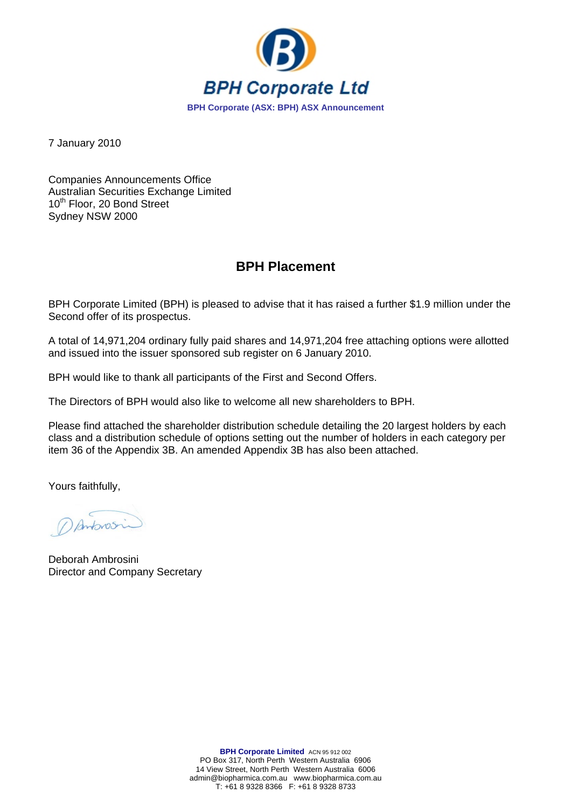

7 January 2010

Companies Announcements Office Australian Securities Exchange Limited 10<sup>th</sup> Floor, 20 Bond Street Sydney NSW 2000

## **BPH Placement**

BPH Corporate Limited (BPH) is pleased to advise that it has raised a further \$1.9 million under the Second offer of its prospectus.

A total of 14,971,204 ordinary fully paid shares and 14,971,204 free attaching options were allotted and issued into the issuer sponsored sub register on 6 January 2010.

BPH would like to thank all participants of the First and Second Offers.

The Directors of BPH would also like to welcome all new shareholders to BPH.

Please find attached the shareholder distribution schedule detailing the 20 largest holders by each class and a distribution schedule of options setting out the number of holders in each category per item 36 of the Appendix 3B. An amended Appendix 3B has also been attached.

Yours faithfully,

Danbrosin

Deborah Ambrosini Director and Company Secretary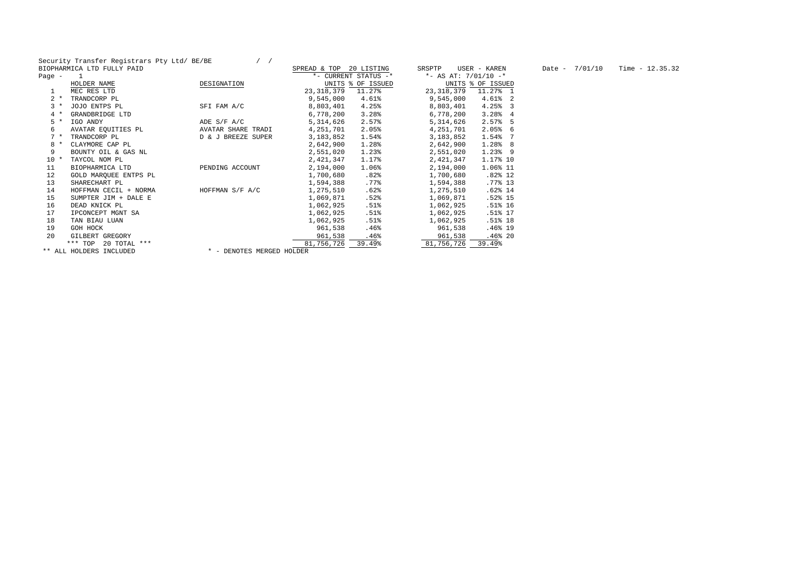Security Transfer Registrars Pty Ltd/ BE/BE / /

|          | BIOPHARMICA LTD FULLY PAID |                           | SPREAD & TOP | 20 LISTING           | SRSPTP       | USER - KAREN           | Date $-7/01/10$ | Time $-12.35.32$ |
|----------|----------------------------|---------------------------|--------------|----------------------|--------------|------------------------|-----------------|------------------|
| Page $-$ |                            |                           |              | *- CURRENT STATUS -* |              | *- AS AT: $7/01/10$ -* |                 |                  |
|          | HOLDER NAME                | DESIGNATION               |              | UNITS % OF ISSUED    |              | UNITS % OF ISSUED      |                 |                  |
|          | MEC RES LTD                |                           | 23, 318, 379 | 11.27%               | 23, 318, 379 | 11.27% 1               |                 |                  |
| $2 *$    | TRANDCORP PL               |                           | 9,545,000    | 4.61%                | 9,545,000    | $4.61%$ 2              |                 |                  |
| $3*$     | JOJO ENTPS PL              | SFI FAM A/C               | 8,803,401    | 4.25%                | 8,803,401    | $4.25%$ 3              |                 |                  |
| $4 *$    | GRANDBRIDGE LTD            |                           | 6,778,200    | 3.28%                | 6,778,200    | 3.2884                 |                 |                  |
| $5*$     | IGO ANDY                   | ADE S/F A/C               | 5,314,626    | 2.57%                | 5,314,626    | $2.57%$ 5              |                 |                  |
| 6        | AVATAR EQUITIES PL         | AVATAR SHARE TRADI        | 4,251,701    | 2.05%                | 4,251,701    | $2.05%$ 6              |                 |                  |
| $7 *$    | TRANDCORP PL               | D & J BREEZE SUPER        | 3,183,852    | 1.54%                | 3,183,852    | 1.54% 7                |                 |                  |
| $8 *$    | CLAYMORE CAP PL            |                           | 2,642,900    | 1.28%                | 2,642,900    | 1.28% 8                |                 |                  |
|          | BOUNTY OIL & GAS NL        |                           | 2,551,020    | $1.23$ $%$           | 2,551,020    | $1.23%$ 9              |                 |                  |
| $10 *$   | TAYCOL NOM PL              |                           | 2,421,347    | 1.17%                | 2,421,347    | 1.17% 10               |                 |                  |
| 11       | BIOPHARMICA LTD            | PENDING ACCOUNT           | 2,194,000    | 1.06%                | 2,194,000    | 1.06% 11               |                 |                  |
| 12       | GOLD MAROUEE ENTPS PL      |                           | 1,700,680    | .82%                 | 1,700,680    | $.82\%$ 12             |                 |                  |
| 13       | SHARECHART PL              |                           | 1,594,388    | .77%                 | 1,594,388    | .77%13                 |                 |                  |
| 14       | HOFFMAN CECIL + NORMA      | HOFFMAN S/F A/C           | 1,275,510    | .62%                 | 1,275,510    | $.62\%$ 14             |                 |                  |
| 15       | SUMPTER JIM + DALE E       |                           | 1,069,871    | .52%                 | 1,069,871    | .52%15                 |                 |                  |
| 16       | DEAD KNICK PL              |                           | 1,062,925    | $.51\%$              | 1,062,925    | .51% 16                |                 |                  |
| 17       | IPCONCEPT MGNT SA          |                           | 1,062,925    | .51%                 | 1,062,925    | .51% 17                |                 |                  |
| 18       | TAN BIAU LUAN              |                           | 1,062,925    | $.51\%$              | 1,062,925    | .51%18                 |                 |                  |
| 19       | GOH HOCK                   |                           | 961,538      | $.46\%$              | 961,538      | .46% 19                |                 |                  |
| 20       | GILBERT GREGORY            |                           | 961,538      | $.46\%$              | 961,538      | .46%20                 |                 |                  |
|          | *** TOP 20 TOTAL ***       |                           | 81,756,726   | 39.49%               | 81,756,726   | 39.49%                 |                 |                  |
|          | ** ALL HOLDERS INCLUDED    | * - DENOTES MERGED HOLDER |              |                      |              |                        |                 |                  |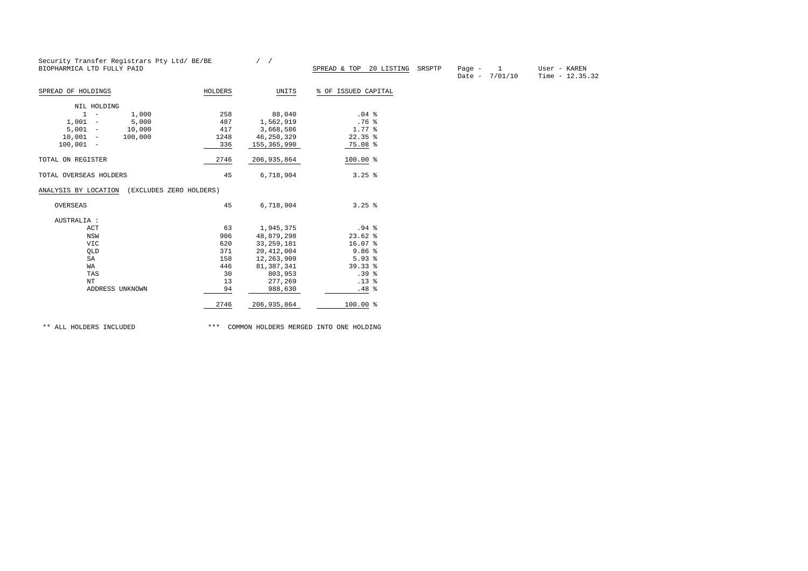|                                                 | Security Transfer Registrars Pty Ltd/ BE/BE |               |                                   |                                             |                                  |
|-------------------------------------------------|---------------------------------------------|---------------|-----------------------------------|---------------------------------------------|----------------------------------|
| BIOPHARMICA LTD FULLY PAID                      |                                             |               | SPREAD & TOP 20 LISTING<br>SRSPTP | $\mathbf{1}$<br>Page $-$<br>Date $-7/01/10$ | User - KAREN<br>Time $-12.35.32$ |
| SPREAD OF HOLDINGS                              | HOLDERS                                     | UNITS         | % OF ISSUED CAPITAL               |                                             |                                  |
| NIL HOLDING                                     |                                             |               |                                   |                                             |                                  |
| $1 -$<br>1,000                                  | 258                                         | 88,040        | .04 <sup>8</sup>                  |                                             |                                  |
| $1,001 -$<br>5,000                              | 487                                         | 1,562,919     | .76 <sup>8</sup>                  |                                             |                                  |
| $5,001 -$<br>10,000                             | 417                                         | 3,668,586     | $1.77$ %                          |                                             |                                  |
| $10,001 -$<br>100,000                           | 1248                                        | 46,250,329    | $22.35$ $%$                       |                                             |                                  |
| $100,001 -$                                     | 336                                         | 155,365,990   | $75.08$ %                         |                                             |                                  |
| TOTAL ON REGISTER                               | 2746                                        | 206, 935, 864 | $100.00$ %                        |                                             |                                  |
| TOTAL OVERSEAS HOLDERS                          | 45                                          | 6,718,904     | $3.25$ %                          |                                             |                                  |
| ANALYSIS BY LOCATION<br>(EXCLUDES ZERO HOLDERS) |                                             |               |                                   |                                             |                                  |
|                                                 |                                             |               |                                   |                                             |                                  |
| OVERSEAS                                        | 45                                          | 6,718,904     | $3.25$ %                          |                                             |                                  |
| AUSTRALIA :                                     |                                             |               |                                   |                                             |                                  |
| ACT                                             | 63                                          | 1,945,375     | .94%                              |                                             |                                  |
| NSW                                             | 906                                         | 48,879,298    | $23.62$ %                         |                                             |                                  |
| <b>VIC</b>                                      | 620                                         | 33, 259, 181  | $16.07$ %                         |                                             |                                  |
| QLD                                             | 371                                         | 20, 412, 004  | 9.86%                             |                                             |                                  |
| SA                                              | 158                                         | 12,263,909    | 5.93%                             |                                             |                                  |
| WA                                              | 446                                         | 81,387,341    | $39.33$ $%$                       |                                             |                                  |
| TAS                                             | 30                                          | 803,953       | .39 <sup>°</sup>                  |                                             |                                  |
| NT                                              | 13                                          | 277,269       | .13 <sup>°</sup>                  |                                             |                                  |
| ADDRESS UNKNOWN                                 | 94                                          | 988,630       | .48%                              |                                             |                                  |

\*\* ALL HOLDERS INCLUDED \*\*\* COMMON HOLDERS MERGED INTO ONE HOLDING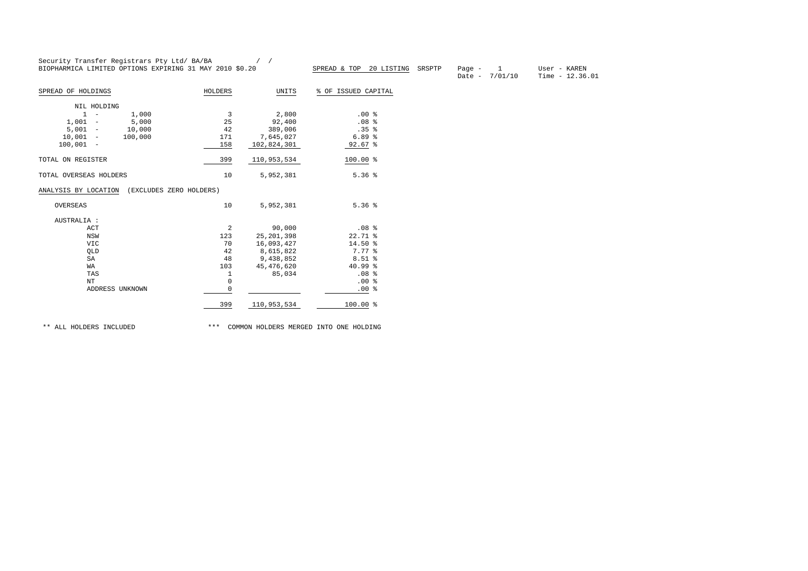|                                            | BIOPHARMICA LIMITED OPTIONS EXPIRING 31 MAY 2010 \$0.20 |                        | SPREAD & TOP<br>20 LISTING | SRSPTP | Page $-$ | $\mathbf{1}$<br>Date - $7/01/10$ | User - KAREN<br>Time $-12.36.01$ |
|--------------------------------------------|---------------------------------------------------------|------------------------|----------------------------|--------|----------|----------------------------------|----------------------------------|
| SPREAD OF HOLDINGS                         | HOLDERS                                                 | UNITS                  | % OF ISSUED CAPITAL        |        |          |                                  |                                  |
| NIL HOLDING                                |                                                         |                        |                            |        |          |                                  |                                  |
| $1 -$<br>1,000<br>$\overline{\phantom{a}}$ | 3                                                       | 2,800                  | .00%                       |        |          |                                  |                                  |
| $1,001 -$<br>5,000                         | 25                                                      | 92,400                 | .08 <sup>8</sup>           |        |          |                                  |                                  |
| $5,001 -$<br>10,000                        | 42                                                      | 389,006                | .35 <sup>8</sup>           |        |          |                                  |                                  |
| $10,001 -$<br>100,000                      | 171                                                     | 7,645,027              | 6.89%                      |        |          |                                  |                                  |
| $100,001 -$                                | 158                                                     | 102,824,301            | $92.67$ %                  |        |          |                                  |                                  |
| TOTAL ON REGISTER                          | 399                                                     | 110,953,534            | 100.00 %                   |        |          |                                  |                                  |
|                                            |                                                         |                        | 5.36%                      |        |          |                                  |                                  |
| TOTAL OVERSEAS HOLDERS                     | 10                                                      | 5,952,381              |                            |        |          |                                  |                                  |
| (EXCLUDES ZERO HOLDERS)                    |                                                         |                        |                            |        |          |                                  |                                  |
| ANALYSIS BY LOCATION<br>OVERSEAS           | 10                                                      | 5,952,381              | 5.36%                      |        |          |                                  |                                  |
| AUSTRALIA :                                |                                                         |                        |                            |        |          |                                  |                                  |
| ACT                                        | 2                                                       | 90,000                 | .08 <sup>8</sup>           |        |          |                                  |                                  |
| NSW                                        | 123                                                     | 25, 201, 398           | $22.71$ %                  |        |          |                                  |                                  |
| <b>VIC</b>                                 | 70                                                      | 16,093,427             | 14.50 %                    |        |          |                                  |                                  |
| QLD                                        | 42                                                      | 8,615,822              | 7.77 %                     |        |          |                                  |                                  |
| SA                                         | 48                                                      | 9,438,852              | $8.51$ %                   |        |          |                                  |                                  |
| <b>WA</b>                                  | 103                                                     |                        | 40.99%                     |        |          |                                  |                                  |
| TAS                                        |                                                         | 45, 476, 620<br>85,034 | .08 <sup>8</sup>           |        |          |                                  |                                  |
| NT                                         | 1<br>$\circ$                                            |                        | .00%                       |        |          |                                  |                                  |
| ADDRESS UNKNOWN                            | $\circ$                                                 |                        | .00%                       |        |          |                                  |                                  |

\*\* ALL HOLDERS INCLUDED \*\*\* COMMON HOLDERS MERGED INTO ONE HOLDING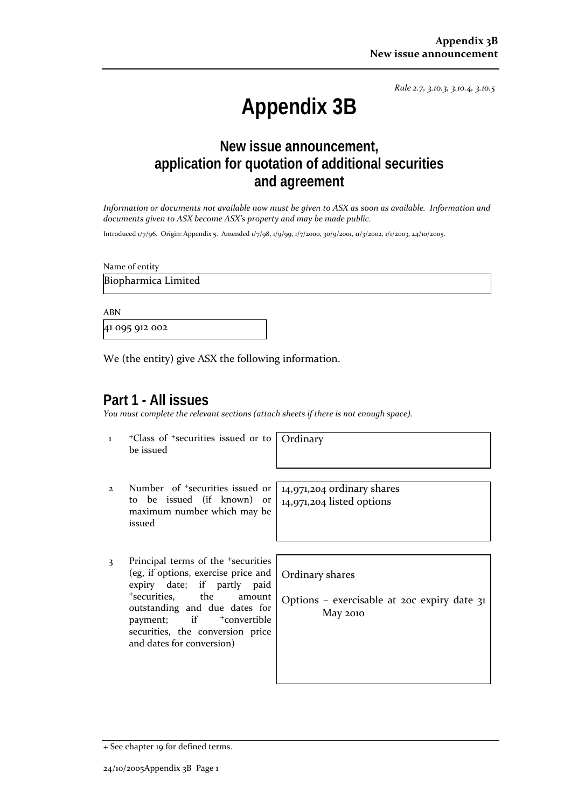*Rule 2.7, 3.10.3, 3.10.4, 3.10.5*

# **Appendix 3B**

# **New issue announcement, application for quotation of additional securities and agreement**

Information or documents not available now must be given to ASX as soon as available. Information and *documents given to ASX become ASX's property and may be made public.*

Introduced 1/7/96. Origin: Appendix 5. Amended 1/7/98, 1/9/99, 1/7/2000, 30/9/2001, 11/3/2002, 1/1/2003, 24/10/2005.

Name of entity

Biopharmica Limited

ABN

41 095 912 002

We (the entity) give ASX the following information.

## **Part 1 - All issues**

*You must complete the relevant sections (attach sheets if there is not enough space).*

1 +Class of +securities issued or to be issued

**Ordinary** 

- 2 Number of <sup>+</sup>securities issued or to be issued (if known) or maximum number which may be issued
- 3 Principal terms of the <sup>+</sup>securities (eg, if options, exercise price and expiry date; if partly paid <sup>+</sup>securities, the amount outstanding and due dates for payment; if  $+$ convertible securities, the conversion price and dates for conversion)

14,971,204 ordinary shares 14,971,204 listed options

Ordinary shares

Options – exercisable at 20c expiry date 31 May 2010

<sup>+</sup> See chapter 19 for defined terms.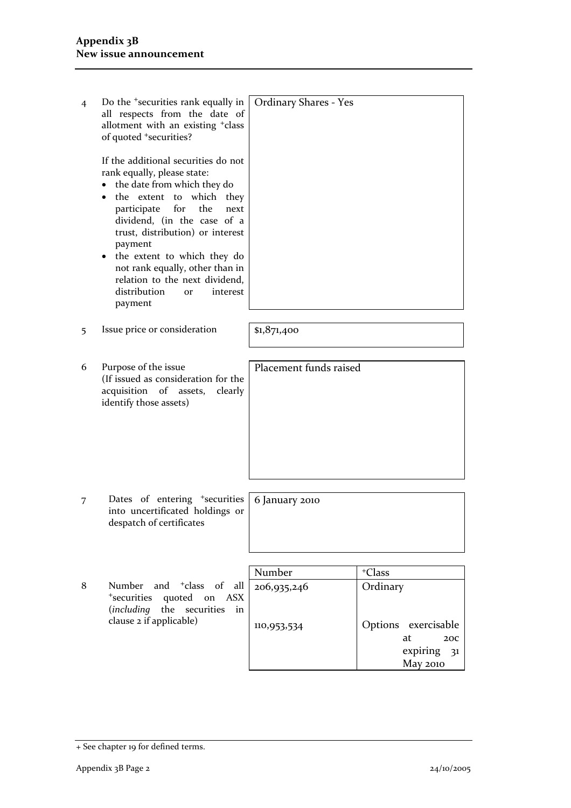| 4 | Do the <sup>+</sup> securities rank equally in<br>all respects from the date of<br>allotment with an existing <sup>+</sup> class<br>of quoted <sup>+</sup> securities?<br>If the additional securities do not<br>rank equally, please state:<br>the date from which they do<br>$\bullet$<br>the extent to which they<br>$\bullet$<br>participate for<br>the<br>next<br>dividend, (in the case of a<br>trust, distribution) or interest<br>payment<br>the extent to which they do<br>٠<br>not rank equally, other than in<br>relation to the next dividend,<br>distribution<br>interest<br>or<br>payment | <b>Ordinary Shares - Yes</b> |                                                 |
|---|---------------------------------------------------------------------------------------------------------------------------------------------------------------------------------------------------------------------------------------------------------------------------------------------------------------------------------------------------------------------------------------------------------------------------------------------------------------------------------------------------------------------------------------------------------------------------------------------------------|------------------------------|-------------------------------------------------|
|   | Issue price or consideration                                                                                                                                                                                                                                                                                                                                                                                                                                                                                                                                                                            |                              |                                                 |
| 5 |                                                                                                                                                                                                                                                                                                                                                                                                                                                                                                                                                                                                         | \$1,871,400                  |                                                 |
|   |                                                                                                                                                                                                                                                                                                                                                                                                                                                                                                                                                                                                         |                              |                                                 |
| 6 | Purpose of the issue<br>(If issued as consideration for the<br>acquisition of<br>assets,<br>clearly<br>identify those assets)                                                                                                                                                                                                                                                                                                                                                                                                                                                                           | Placement funds raised       |                                                 |
|   |                                                                                                                                                                                                                                                                                                                                                                                                                                                                                                                                                                                                         |                              |                                                 |
| 7 | Dates of entering <sup>+</sup> securities<br>into uncertificated holdings or<br>despatch of certificates                                                                                                                                                                                                                                                                                                                                                                                                                                                                                                | 6 January 2010               |                                                 |
|   |                                                                                                                                                                                                                                                                                                                                                                                                                                                                                                                                                                                                         |                              |                                                 |
|   |                                                                                                                                                                                                                                                                                                                                                                                                                                                                                                                                                                                                         | Number                       | <sup>+</sup> Class                              |
| 8 | Number<br>and <sup>+</sup> class<br>$\alpha$ f<br>all<br><sup>+</sup> securities<br>quoted on ASX<br>(including the<br>securities<br>in                                                                                                                                                                                                                                                                                                                                                                                                                                                                 | 206,935,246                  | Ordinary                                        |
|   | clause 2 if applicable)                                                                                                                                                                                                                                                                                                                                                                                                                                                                                                                                                                                 | 110,953,534                  | Options exercisable<br>at<br>20C<br>expiring 31 |
|   |                                                                                                                                                                                                                                                                                                                                                                                                                                                                                                                                                                                                         |                              | <b>May 2010</b>                                 |

<sup>+</sup> See chapter 19 for defined terms.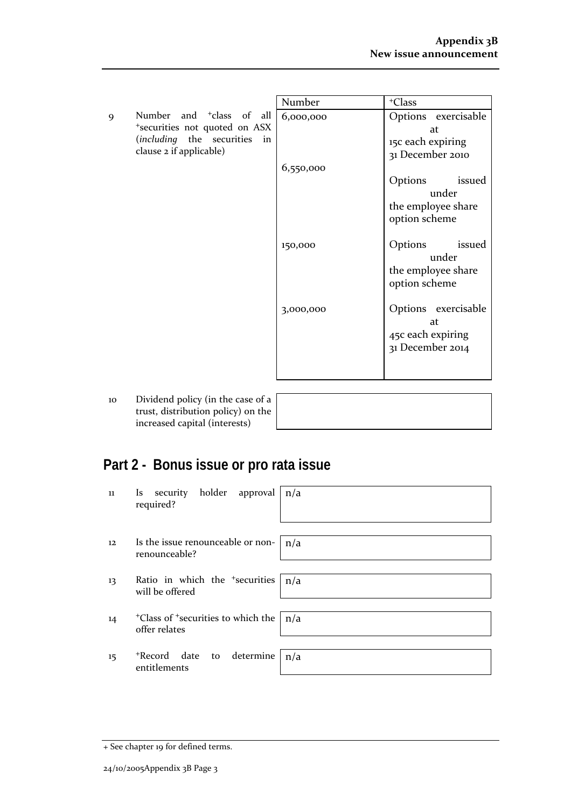|   |                                      | Number    | <sup>+</sup> Class  |
|---|--------------------------------------|-----------|---------------------|
| 9 | Number and <sup>+</sup> class of all | 6,000,000 | Options exercisable |
|   | *securities not quoted on ASX        |           | at                  |
|   | (including the securities in         |           | 15c each expiring   |
|   | clause 2 if applicable)              |           | 31 December 2010    |
|   |                                      | 6,550,000 |                     |
|   |                                      |           | Options<br>issued   |
|   |                                      |           | under               |
|   |                                      |           | the employee share  |
|   |                                      |           | option scheme       |
|   |                                      |           |                     |
|   |                                      | 150,000   | Options<br>issued   |
|   |                                      |           | under               |
|   |                                      |           | the employee share  |
|   |                                      |           | option scheme       |
|   |                                      |           |                     |
|   |                                      | 3,000,000 | Options exercisable |
|   |                                      |           | at                  |
|   |                                      |           | 45c each expiring   |
|   |                                      |           | 31 December 2014    |
|   |                                      |           |                     |
|   |                                      |           |                     |

10 Dividend policy (in the c trust, distribution policy increased capital (interes

| case of a |  |
|-----------|--|
| ) on the  |  |
| sts)      |  |
|           |  |

# **Part 2 - Bonus issue or pro rata issue**

| 11                | Is security holder approval $n/a$<br>required?                                     |  |
|-------------------|------------------------------------------------------------------------------------|--|
| $12 \overline{ }$ | Is the issue renounceable or non- $\mid n/a$<br>renounceable?                      |  |
| 13                | Ratio in which the <sup>+</sup> securities<br>n/a<br>will be offered               |  |
| 14                | <sup>+</sup> Class of <sup>+</sup> securities to which the $ n/a$<br>offer relates |  |
| 15                | *Record date to determine<br>n/a<br>entitlements                                   |  |

<sup>+</sup> See chapter 19 for defined terms.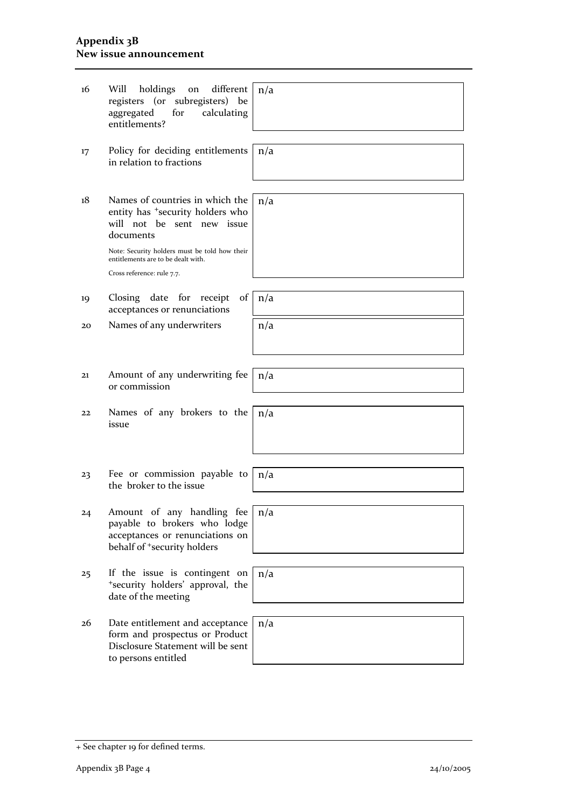#### **Appendix 3B New issue announcement**

| 16 | holdings<br>different<br>Will<br>on<br>registers (or subregisters) be<br>aggregated<br>for<br>calculating<br>entitlements?               | n/a |
|----|------------------------------------------------------------------------------------------------------------------------------------------|-----|
|    |                                                                                                                                          |     |
| 17 | Policy for deciding entitlements<br>in relation to fractions                                                                             | n/a |
|    |                                                                                                                                          |     |
| 18 | Names of countries in which the<br>entity has <sup>+</sup> security holders who<br>will not be sent new issue<br>documents               | n/a |
|    | Note: Security holders must be told how their<br>entitlements are to be dealt with.                                                      |     |
|    | Cross reference: rule 7.7.                                                                                                               |     |
|    |                                                                                                                                          |     |
| 19 | Closing date for<br>of<br>receipt<br>acceptances or renunciations                                                                        | n/a |
| 20 | Names of any underwriters                                                                                                                | n/a |
|    |                                                                                                                                          |     |
|    |                                                                                                                                          |     |
| 21 | Amount of any underwriting fee<br>or commission                                                                                          | n/a |
|    |                                                                                                                                          |     |
| 22 | Names of any brokers to the<br>issue                                                                                                     | n/a |
|    |                                                                                                                                          |     |
|    |                                                                                                                                          |     |
|    | Fee or commission payable to                                                                                                             | n/a |
| 23 | the broker to the issue                                                                                                                  |     |
|    |                                                                                                                                          |     |
| 24 | Amount of any handling fee<br>payable to brokers who lodge<br>acceptances or renunciations on<br>behalf of <sup>+</sup> security holders | n/a |
|    |                                                                                                                                          |     |
| 25 | If the issue is contingent on<br>*security holders' approval, the<br>date of the meeting                                                 | n/a |
|    |                                                                                                                                          |     |
| 26 | Date entitlement and acceptance<br>form and prospectus or Product<br>Disclosure Statement will be sent<br>to persons entitled            | n/a |
|    |                                                                                                                                          |     |

<sup>+</sup> See chapter 19 for defined terms.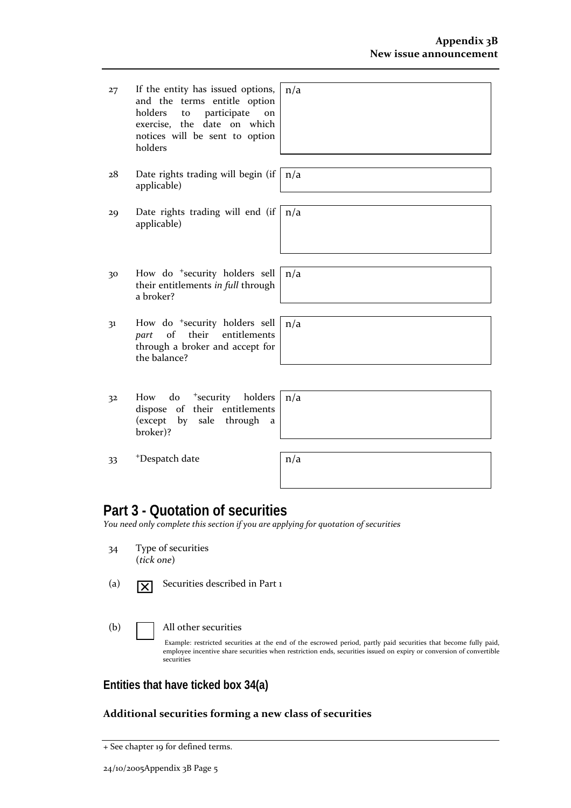| 27 | If the entity has issued options,<br>and the terms entitle option<br>holders to<br>participate<br>on<br>exercise, the date on which<br>notices will be sent to option<br>holders | n/a |
|----|----------------------------------------------------------------------------------------------------------------------------------------------------------------------------------|-----|
| 28 | Date rights trading will begin (if<br>applicable)                                                                                                                                | n/a |
| 29 | Date rights trading will end (if<br>applicable)                                                                                                                                  | n/a |
|    |                                                                                                                                                                                  |     |
| 30 | How do <sup>+</sup> security holders sell<br>their entitlements in full through<br>a broker?                                                                                     | n/a |
|    |                                                                                                                                                                                  |     |
| 31 | How do <sup>+</sup> security holders sell<br>of<br>their<br>entitlements<br>part<br>through a broker and accept for<br>the balance?                                              | n/a |
|    |                                                                                                                                                                                  |     |
| 32 | do<br><sup>+</sup> security holders<br>How<br>dispose of their entitlements<br>(except by sale through<br>a<br>broker)?                                                          | n/a |
|    |                                                                                                                                                                                  |     |

 $33$  +Despatch date n/a

# **Part 3 - Quotation of securities**

*You need only complete this section if you are applying for quotation of securities*

- 34 Type of securities (*tick one*)
- (a)  $\boxed{\mathbf{X}}$  Securities described in Part 1
	-

(b) All other securities

Example: restricted securities at the end of the escrowed period, partly paid securities that become fully paid, employee incentive share securities when restriction ends, securities issued on expiry or conversion of convertible securities

## **Entities that have ticked box 34(a)**

#### **Additional securities forming a new class of securities**

<sup>+</sup> See chapter 19 for defined terms.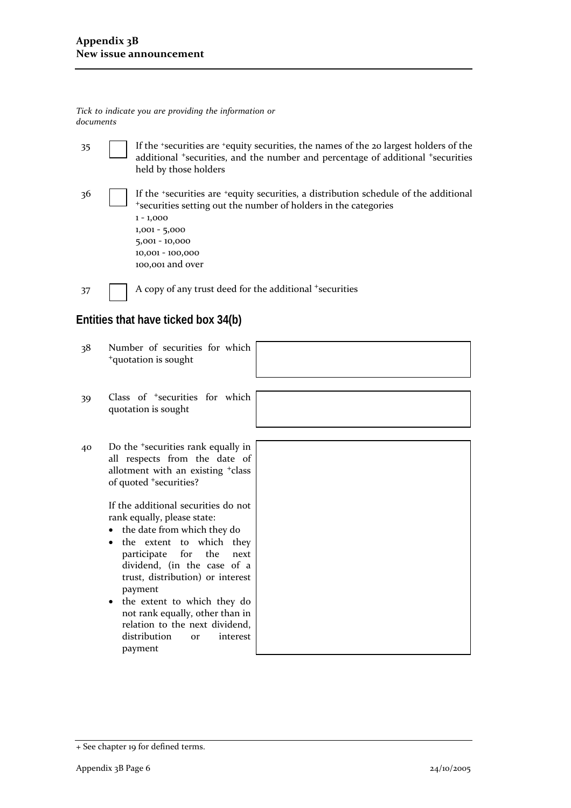35 If the +securities are +equity securities, the names of the 20 largest holders of the additional <sup>+</sup>securities, and the number and percentage of additional <sup>+</sup>securities held by those holders

36 If the <sup>+</sup>securities are <sup>+</sup>equity securities, a distribution schedule of the additional <sup>+</sup>securities setting out the number of holders in the categories 1 ‐ 1,000 1,001 ‐ 5,000 5,001 ‐ 10,000 10,001 ‐ 100,000 100,001 and over

 $37$  A copy of any trust deed for the additional +securities

### **Entities that have ticked box 34(b)**

- 38 Number of securities for which <sup>+</sup>quotation is sought
- 39 Class of <sup>+</sup>securities for which quotation is sought
- 40 Do the <sup>+</sup>securities rank equally in all respects from the date of allotment with an existing <sup>+</sup>class of quoted <sup>+</sup>securities?

If the additional securities do not rank equally, please state:

- the date from which they do
- the extent to which they participate for the next dividend, (in the case of a trust, distribution) or interest payment
- the extent to which they do not rank equally, other than in relation to the next dividend, distribution or interest payment



*Tick to indicate you are providing the information or documents*

<sup>+</sup> See chapter 19 for defined terms.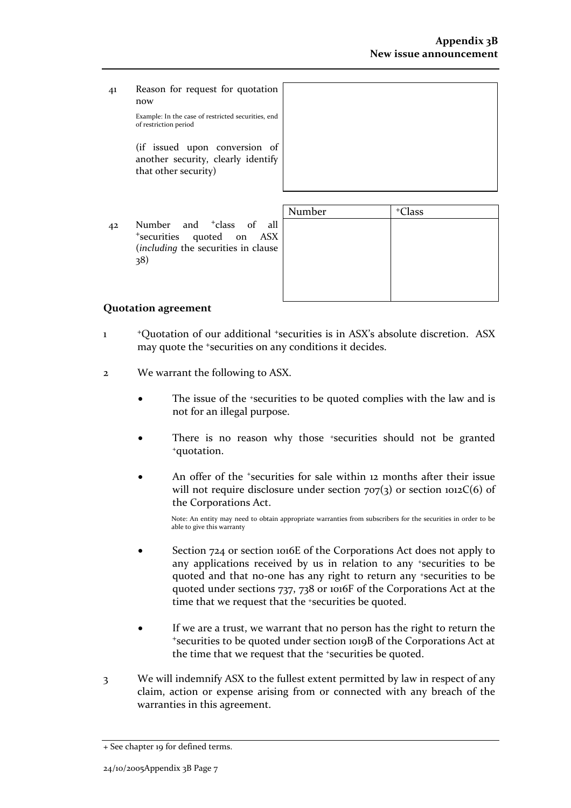41 Reason for request for quotation now

Example: In the case of restricted securities, end of restriction period

(if issued upon conversion of another security, clearly identify that other security)

42 Number and <sup>+</sup>class of all <sup>+</sup>securities quoted on ASX (*including* the securities in clause 38)

| <sup>+</sup> Class |
|--------------------|
|                    |
|                    |
|                    |
|                    |
|                    |
|                    |

#### **Quotation agreement**

- 1 <sup>+</sup>Quotation of our additional <sup>+</sup>securities is in ASX's absolute discretion. ASX may quote the <sup>+</sup>securities on any conditions it decides.
- 2 We warrant the following to ASX.
	- The issue of the +securities to be quoted complies with the law and is not for an illegal purpose.
	- There is no reason why those +securities should not be granted +quotation.
	- An offer of the *\*securities* for sale within 12 months after their issue will not require disclosure under section  $707(3)$  or section  $1012C(6)$  of the Corporations Act.

Note: An entity may need to obtain appropriate warranties from subscribers for the securities in order to be able to give this warranty

- Section 724 or section 1016E of the Corporations Act does not apply to any applications received by us in relation to any +securities to be quoted and that no-one has any right to return any +securities to be quoted under sections 737, 738 or 1016F of the Corporations Act at the time that we request that the +securities be quoted.
- If we are a trust, we warrant that no person has the right to return the <sup>+</sup>securities to be quoted under section 1019B of the Corporations Act at the time that we request that the +securities be quoted.
- 3 We will indemnify ASX to the fullest extent permitted by law in respect of any claim, action or expense arising from or connected with any breach of the warranties in this agreement.

<sup>+</sup> See chapter 19 for defined terms.